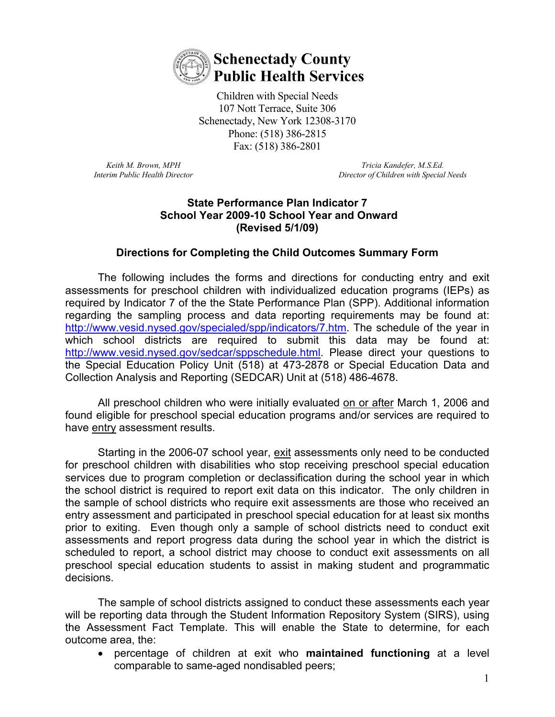

Children with Special Needs 107 Nott Terrace, Suite 306 Schenectady, New York 12308-3170 Phone: (518) 386-2815 Fax: (518) 386-2801

*Keith M. Brown, MPH Interim Public Health Director*

*Tricia Kandefer, M.S.Ed. Director of Children with Special Needs*

## **State Performance Plan Indicator 7 School Year 2009-10 School Year and Onward (Revised 5/1/09)**

## **Directions for Completing the Child Outcomes Summary Form**

The following includes the forms and directions for conducting entry and exit assessments for preschool children with individualized education programs (IEPs) as required by Indicator 7 of the the State Performance Plan (SPP). Additional information regarding the sampling process and data reporting requirements may be found at: [http://www.vesid.nysed.gov/specialed/spp/indicators/7.htm.](http://www.vesid.nysed.gov/specialed/spp/indicators/7.htm) The schedule of the year in which school districts are required to submit this data may be found at: [http://www.vesid.nysed.gov/sedcar/sppschedule.html.](http://www.vesid.nysed.gov/sedcar/sppschedule.html) Please direct your questions to the Special Education Policy Unit (518) at 473-2878 or Special Education Data and Collection Analysis and Reporting (SEDCAR) Unit at (518) 486-4678.

All preschool children who were initially evaluated on or after March 1, 2006 and found eligible for preschool special education programs and/or services are required to have entry assessment results.

Starting in the 2006-07 school year, exit assessments only need to be conducted for preschool children with disabilities who stop receiving preschool special education services due to program completion or declassification during the school year in which the school district is required to report exit data on this indicator.The only children in the sample of school districts who require exit assessments are those who received an entry assessment and participated in preschool special education for at least six months prior to exiting.Even though only a sample of school districts need to conduct exit assessments and report progress data during the school year in which the district is scheduled to report, a school district may choose to conduct exit assessments on all preschool special education students to assist in making student and programmatic decisions.

The sample of school districts assigned to conduct these assessments each year will be reporting data through the Student Information Repository System (SIRS), using the Assessment Fact Template. This will enable the State to determine, for each outcome area, the:

• percentage of children at exit who **maintained functioning** at a level comparable to same-aged nondisabled peers;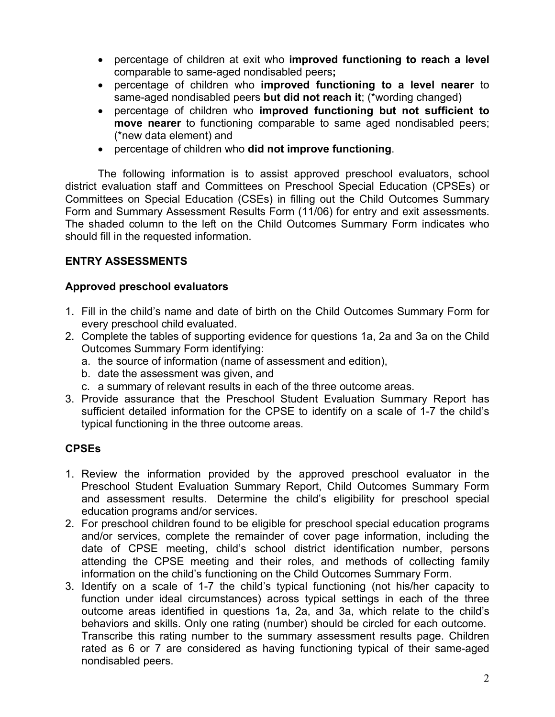- percentage of children at exit who **improved functioning to reach a level**  comparable to same-aged nondisabled peers**;**
- percentage of children who **improved functioning to a level nearer** to same-aged nondisabled peers **but did not reach it**; (\*wording changed)
- percentage of children who **improved functioning but not sufficient to move nearer** to functioning comparable to same aged nondisabled peers; (\*new data element) and
- percentage of children who **did not improve functioning**.

The following information is to assist approved preschool evaluators, school district evaluation staff and Committees on Preschool Special Education (CPSEs) or Committees on Special Education (CSEs) in filling out the Child Outcomes Summary Form and Summary Assessment Results Form (11/06) for entry and exit assessments. The shaded column to the left on the Child Outcomes Summary Form indicates who should fill in the requested information.

## **ENTRY ASSESSMENTS**

## **Approved preschool evaluators**

- 1. Fill in the child's name and date of birth on the Child Outcomes Summary Form for every preschool child evaluated.
- 2. Complete the tables of supporting evidence for questions 1a, 2a and 3a on the Child Outcomes Summary Form identifying:
	- a. the source of information (name of assessment and edition),
	- b. date the assessment was given, and
	- c. a summary of relevant results in each of the three outcome areas.
- 3. Provide assurance that the Preschool Student Evaluation Summary Report has sufficient detailed information for the CPSE to identify on a scale of 1-7 the child's typical functioning in the three outcome areas.

## **CPSEs**

- 1. Review the information provided by the approved preschool evaluator in the Preschool Student Evaluation Summary Report, Child Outcomes Summary Form and assessment results. Determine the child's eligibility for preschool special education programs and/or services.
- 2. For preschool children found to be eligible for preschool special education programs and/or services, complete the remainder of cover page information, including the date of CPSE meeting, child's school district identification number, persons attending the CPSE meeting and their roles, and methods of collecting family information on the child's functioning on the Child Outcomes Summary Form.
- 3. Identify on a scale of 1-7 the child's typical functioning (not his/her capacity to function under ideal circumstances) across typical settings in each of the three outcome areas identified in questions 1a, 2a, and 3a, which relate to the child's behaviors and skills. Only one rating (number) should be circled for each outcome. Transcribe this rating number to the summary assessment results page. Children rated as 6 or 7 are considered as having functioning typical of their same-aged nondisabled peers.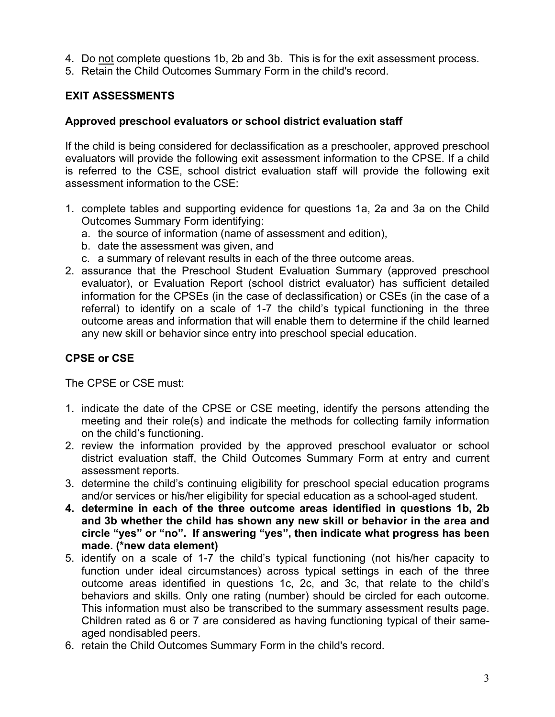- 4. Do not complete questions 1b, 2b and 3b. This is for the exit assessment process.
- 5. Retain the Child Outcomes Summary Form in the child's record.

## **EXIT ASSESSMENTS**

## **Approved preschool evaluators or school district evaluation staff**

If the child is being considered for declassification as a preschooler, approved preschool evaluators will provide the following exit assessment information to the CPSE. If a child is referred to the CSE, school district evaluation staff will provide the following exit assessment information to the CSE:

- 1. complete tables and supporting evidence for questions 1a, 2a and 3a on the Child Outcomes Summary Form identifying:
	- a. the source of information (name of assessment and edition),
	- b. date the assessment was given, and
	- c. a summary of relevant results in each of the three outcome areas.
- 2. assurance that the Preschool Student Evaluation Summary (approved preschool evaluator), or Evaluation Report (school district evaluator) has sufficient detailed information for the CPSEs (in the case of declassification) or CSEs (in the case of a referral) to identify on a scale of 1-7 the child's typical functioning in the three outcome areas and information that will enable them to determine if the child learned any new skill or behavior since entry into preschool special education.

## **CPSE or CSE**

The CPSE or CSE must:

- 1. indicate the date of the CPSE or CSE meeting, identify the persons attending the meeting and their role(s) and indicate the methods for collecting family information on the child's functioning.
- 2. review the information provided by the approved preschool evaluator or school district evaluation staff, the Child Outcomes Summary Form at entry and current assessment reports.
- 3. determine the child's continuing eligibility for preschool special education programs and/or services or his/her eligibility for special education as a school-aged student.
- **4. determine in each of the three outcome areas identified in questions 1b, 2b and 3b whether the child has shown any new skill or behavior in the area and circle "yes" or "no". If answering "yes", then indicate what progress has been made. (\*new data element)**
- 5. identify on a scale of 1-7 the child's typical functioning (not his/her capacity to function under ideal circumstances) across typical settings in each of the three outcome areas identified in questions 1c, 2c, and 3c, that relate to the child's behaviors and skills. Only one rating (number) should be circled for each outcome. This information must also be transcribed to the summary assessment results page. Children rated as 6 or 7 are considered as having functioning typical of their sameaged nondisabled peers.
- 6. retain the Child Outcomes Summary Form in the child's record.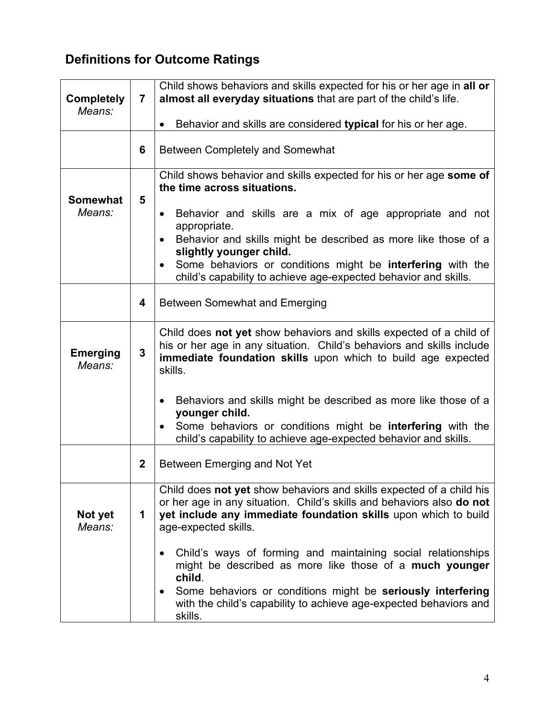# **Definitions for Outcome Ratings**

|                   |                | Child shows behaviors and skills expected for his or her age in all or       |
|-------------------|----------------|------------------------------------------------------------------------------|
| <b>Completely</b> | $\overline{7}$ | almost all everyday situations that are part of the child's life.            |
| Means:            |                |                                                                              |
|                   |                | Behavior and skills are considered typical for his or her age.<br>$\bullet$  |
|                   |                |                                                                              |
|                   | 6              | <b>Between Completely and Somewhat</b>                                       |
|                   |                | Child shows behavior and skills expected for his or her age some of          |
|                   |                | the time across situations.                                                  |
| <b>Somewhat</b>   | 5              |                                                                              |
| Means:            |                | Behavior and skills are a mix of age appropriate and not<br>$\bullet$        |
|                   |                | appropriate.                                                                 |
|                   |                | Behavior and skills might be described as more like those of a<br>$\bullet$  |
|                   |                | slightly younger child.                                                      |
|                   |                | Some behaviors or conditions might be interfering with the<br>$\bullet$      |
|                   |                | child's capability to achieve age-expected behavior and skills.              |
|                   | 4              | <b>Between Somewhat and Emerging</b>                                         |
|                   |                |                                                                              |
|                   |                | Child does not yet show behaviors and skills expected of a child of          |
|                   |                | his or her age in any situation. Child's behaviors and skills include        |
| <b>Emerging</b>   | 3              | immediate foundation skills upon which to build age expected                 |
| Means:            |                | skills.                                                                      |
|                   |                |                                                                              |
|                   |                | Behaviors and skills might be described as more like those of a<br>$\bullet$ |
|                   |                | younger child.                                                               |
|                   |                | Some behaviors or conditions might be interfering with the                   |
|                   |                | child's capability to achieve age-expected behavior and skills.              |
|                   | $\mathbf 2$    | Between Emerging and Not Yet                                                 |
|                   |                |                                                                              |
|                   |                | Child does not yet show behaviors and skills expected of a child his         |
|                   |                | or her age in any situation. Child's skills and behaviors also do not        |
| Not yet           | 1              | yet include any immediate foundation skills upon which to build              |
| Means:            |                | age-expected skills.                                                         |
|                   |                | Child's ways of forming and maintaining social relationships                 |
|                   |                | might be described as more like those of a much younger                      |
|                   |                | child.                                                                       |
|                   |                | Some behaviors or conditions might be seriously interfering<br>$\bullet$     |
|                   |                | with the child's capability to achieve age-expected behaviors and            |
|                   |                | skills.                                                                      |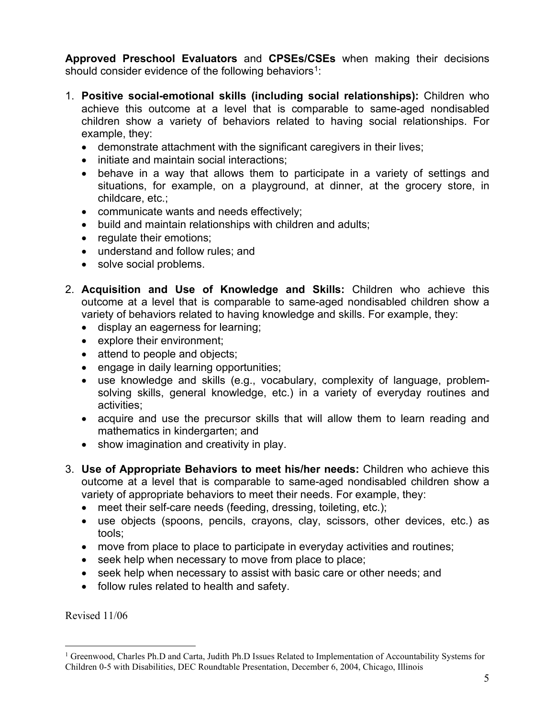**Approved Preschool Evaluators** and **CPSEs/CSEs** when making their decisions should consider evidence of the following behaviors<sup>[1](#page-4-0)</sup>:

- 1. **Positive social-emotional skills (including social relationships):** Children who achieve this outcome at a level that is comparable to same-aged nondisabled children show a variety of behaviors related to having social relationships. For example, they:
	- demonstrate attachment with the significant caregivers in their lives;
	- initiate and maintain social interactions;
	- behave in a way that allows them to participate in a variety of settings and situations, for example, on a playground, at dinner, at the grocery store, in childcare, etc.;
	- communicate wants and needs effectively;
	- build and maintain relationships with children and adults;
	- regulate their emotions;
	- understand and follow rules; and
	- solve social problems.
- 2. **Acquisition and Use of Knowledge and Skills:** Children who achieve this outcome at a level that is comparable to same-aged nondisabled children show a variety of behaviors related to having knowledge and skills. For example, they:
	- display an eagerness for learning;
	- explore their environment;
	- attend to people and objects:
	- engage in daily learning opportunities;
	- use knowledge and skills (e.g., vocabulary, complexity of language, problemsolving skills, general knowledge, etc.) in a variety of everyday routines and activities;
	- acquire and use the precursor skills that will allow them to learn reading and mathematics in kindergarten; and
	- show imagination and creativity in play.
- 3. **Use of Appropriate Behaviors to meet his/her needs:** Children who achieve this outcome at a level that is comparable to same-aged nondisabled children show a variety of appropriate behaviors to meet their needs. For example, they:
	- meet their self-care needs (feeding, dressing, toileting, etc.);
	- use objects (spoons, pencils, crayons, clay, scissors, other devices, etc.) as tools;
	- move from place to place to participate in everyday activities and routines;
	- seek help when necessary to move from place to place;
	- seek help when necessary to assist with basic care or other needs; and
	- follow rules related to health and safety.

Revised 11/06

<span id="page-4-0"></span><sup>&</sup>lt;sup>1</sup> Greenwood, Charles Ph.D and Carta, Judith Ph.D Issues Related to Implementation of Accountability Systems for Children 0-5 with Disabilities, DEC Roundtable Presentation, December 6, 2004, Chicago, Illinois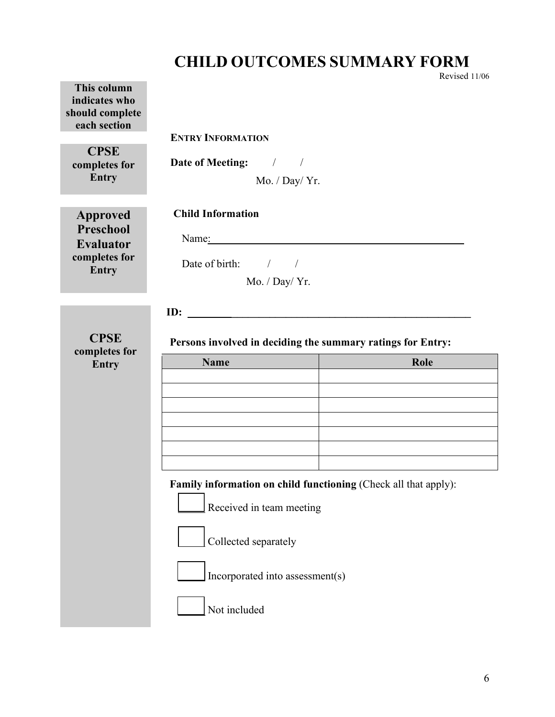## **CHILD OUTCOMES SUMMARY FORM**

Revised 11/06 **This column indicates who should complete each section ENTRY INFORMATION CPSE completes for Entry Date of Meeting:** / / Mo. / Day/ Yr. **Approved Preschool Evaluator completes for Entry Child Information** Name: *\_\_\_\_\_\_\_\_\_\_\_\_* Date of birth: / / Mo. / Day/ Yr. **ID: \_\_\_\_\_\_\_\_\_\_\_\_\_\_\_\_\_\_\_\_\_\_\_\_\_\_\_\_\_\_\_\_\_\_\_\_\_\_\_\_\_\_\_\_ CPSE completes for Entry Persons involved in deciding the summary ratings for Entry: Name Role Role Family information on child functioning (Check all that apply):** Received in team meeting Collected separately Incorporated into assessment(s) Not included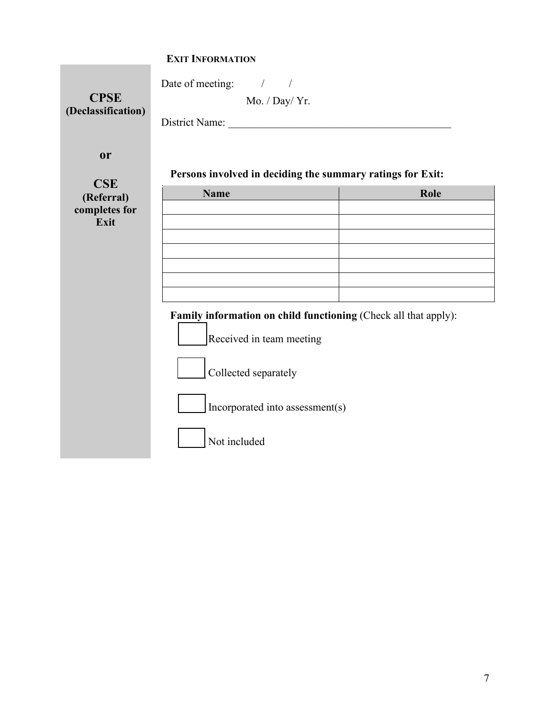| <b>CPSE</b><br>(Declassification)         | Date of meeting: / /<br>Mo. / Day/ Yr.                                                      |      |
|-------------------------------------------|---------------------------------------------------------------------------------------------|------|
| <b>or</b>                                 | Persons involved in deciding the summary ratings for Exit:                                  |      |
| <b>CSE</b><br>(Referral)<br>completes for | <b>Name</b>                                                                                 | Role |
| Exit                                      |                                                                                             |      |
|                                           |                                                                                             |      |
|                                           |                                                                                             |      |
|                                           | Family information on child functioning (Check all that apply):<br>Received in team meeting |      |
|                                           | Collected separately                                                                        |      |
|                                           | Incorporated into assessment(s)                                                             |      |
|                                           | Not included                                                                                |      |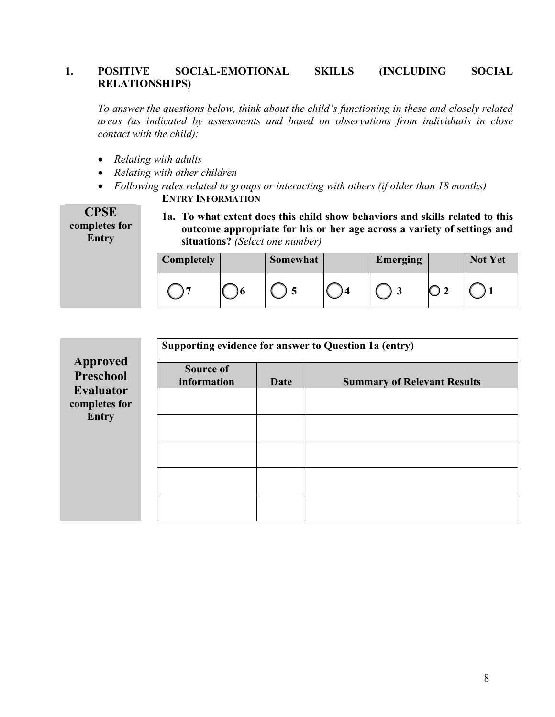#### **1. POSITIVE SOCIAL-EMOTIONAL SKILLS (INCLUDING SOCIAL RELATIONSHIPS)**

*To answer the questions below, think about the child's functioning in these and closely related areas (as indicated by assessments and based on observations from individuals in close contact with the child):*

- *Relating with adults*
- *Relating with other children*
- *Following rules related to groups or interacting with others (if older than 18 months)* **ENTRY INFORMATION**  $CDC$

| CFSE          |  |
|---------------|--|
| completes for |  |
| Entry         |  |

**1a. To what extent does this child show behaviors and skills related to this outcome appropriate for his or her age across a variety of settings and situations?** *(Select one number)*

| <b>Completely</b> | Somewhat | <b>Emerging</b> | <b>Not Yet</b> |
|-------------------|----------|-----------------|----------------|
|                   |          |                 |                |

|                                   | Supporting evidence for answer to Question 1a (entry) |      |                                    |  |  |  |  |
|-----------------------------------|-------------------------------------------------------|------|------------------------------------|--|--|--|--|
| Approved<br>Preschool             | Source of<br>information                              | Date | <b>Summary of Relevant Results</b> |  |  |  |  |
| <b>Evaluator</b><br>completes for |                                                       |      |                                    |  |  |  |  |
| <b>Entry</b>                      |                                                       |      |                                    |  |  |  |  |
|                                   |                                                       |      |                                    |  |  |  |  |
|                                   |                                                       |      |                                    |  |  |  |  |
|                                   |                                                       |      |                                    |  |  |  |  |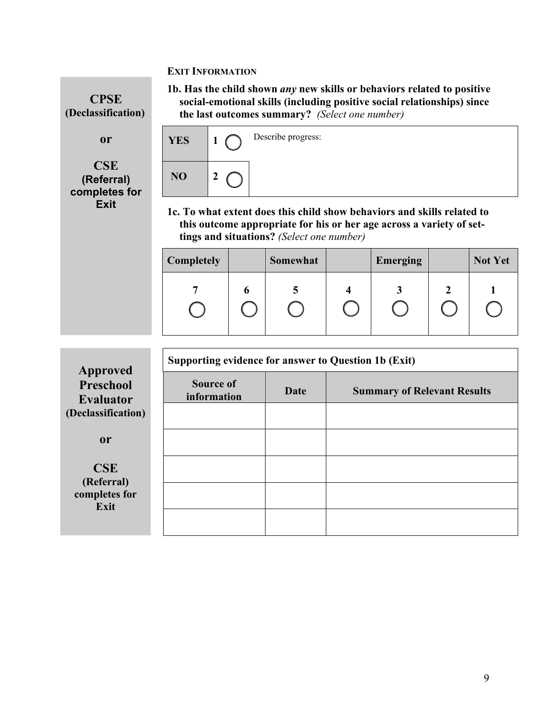**CPSE (Declassification)**

**or**

**CSE (Referral) completes for Exit**

**1b. Has the child shown** *any* **new skills or behaviors related to positive social-emotional skills (including positive social relationships) since the last outcomes summary?** *(Select one number)* 



**1c. To what extent does this child show behaviors and skills related to this outcome appropriate for his or her age across a variety of settings and situations?** *(Select one number)*

| Completely | Somewhat | <b>Emerging</b> | <b>Not Yet</b> |
|------------|----------|-----------------|----------------|
|            |          |                 |                |

| Approved                            | Supporting evidence for answer to Question 1b (Exit) |      |                                    |  |  |  |  |
|-------------------------------------|------------------------------------------------------|------|------------------------------------|--|--|--|--|
| <b>Preschool</b><br>Evaluator       | <b>Source of</b><br>information                      | Date | <b>Summary of Relevant Results</b> |  |  |  |  |
| (Declassification)                  |                                                      |      |                                    |  |  |  |  |
| $\mathbf{0}$ r                      |                                                      |      |                                    |  |  |  |  |
| CSE                                 |                                                      |      |                                    |  |  |  |  |
| (Referral)<br>completes for<br>Exit |                                                      |      |                                    |  |  |  |  |
|                                     |                                                      |      |                                    |  |  |  |  |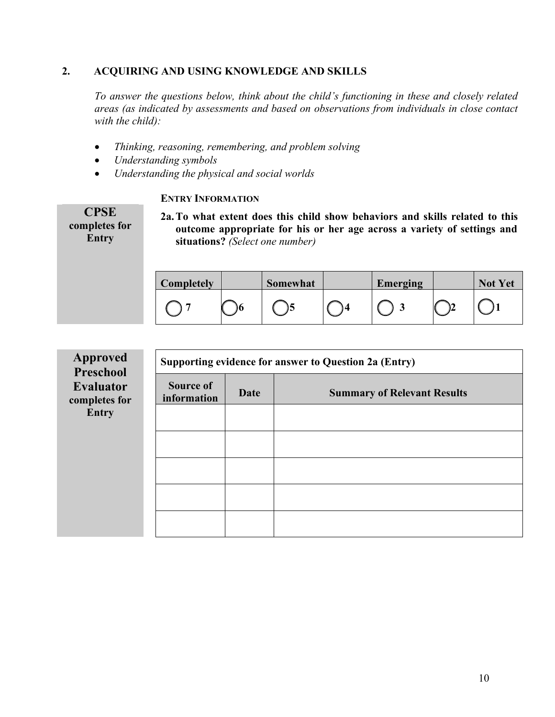#### **2. ACQUIRING AND USING KNOWLEDGE AND SKILLS**

*To answer the questions below, think about the child's functioning in these and closely related areas (as indicated by assessments and based on observations from individuals in close contact with the child):*

- *Thinking, reasoning, remembering, and problem solving*
- *Understanding symbols*
- *Understanding the physical and social worlds*

#### **ENTRY INFORMATION**

**CPSE completes for Entry**

**2a.To what extent does this child show behaviors and skills related to this outcome appropriate for his or her age across a variety of settings and situations?** *(Select one number)*

| Completely | Somewhat | <b>Emerging</b> | <b>Not Yet</b> |
|------------|----------|-----------------|----------------|
|            |          |                 |                |

| <b>Approved</b><br>Preschool      | Supporting evidence for answer to Question 2a (Entry) |      |                                    |  |  |  |
|-----------------------------------|-------------------------------------------------------|------|------------------------------------|--|--|--|
| <b>Evaluator</b><br>completes for | <b>Source of</b><br>information                       | Date | <b>Summary of Relevant Results</b> |  |  |  |
| Entry                             |                                                       |      |                                    |  |  |  |
|                                   |                                                       |      |                                    |  |  |  |
|                                   |                                                       |      |                                    |  |  |  |
|                                   |                                                       |      |                                    |  |  |  |
|                                   |                                                       |      |                                    |  |  |  |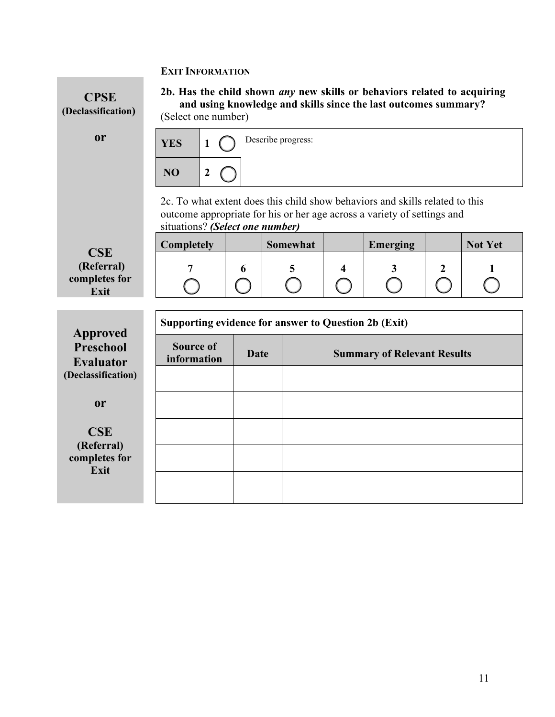

**or**

**CSE (Referral) completes for Exit**

**2b. Has the child shown** *any* **new skills or behaviors related to acquiring and using knowledge and skills since the last outcomes summary?**  (Select one number)



2c. To what extent does this child show behaviors and skills related to this outcome appropriate for his or her age across a variety of settings and situations? *(Select one number)*

| <b>Completely</b> | Somewhat | <b>Emerging</b> | <b>Not Yet</b> |
|-------------------|----------|-----------------|----------------|
|                   |          |                 |                |
|                   |          |                 |                |

| Approved                             | Supporting evidence for answer to Question 2b (Exit) |      |                                    |  |  |  |  |
|--------------------------------------|------------------------------------------------------|------|------------------------------------|--|--|--|--|
| <b>Preschool</b><br><b>Evaluator</b> | <b>Source of</b><br>information                      | Date | <b>Summary of Relevant Results</b> |  |  |  |  |
| (Declassification)                   |                                                      |      |                                    |  |  |  |  |
| <sub>or</sub>                        |                                                      |      |                                    |  |  |  |  |
| CSE                                  |                                                      |      |                                    |  |  |  |  |
| completes for                        |                                                      |      |                                    |  |  |  |  |
|                                      |                                                      |      |                                    |  |  |  |  |
| (Referral)<br>Exit                   |                                                      |      |                                    |  |  |  |  |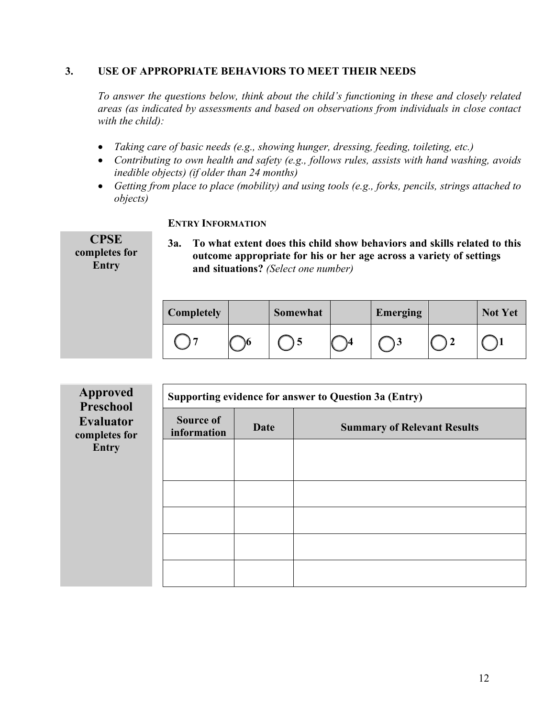#### **3. USE OF APPROPRIATE BEHAVIORS TO MEET THEIR NEEDS**

*To answer the questions below, think about the child's functioning in these and closely related areas (as indicated by assessments and based on observations from individuals in close contact with the child):*

- *Taking care of basic needs (e.g., showing hunger, dressing, feeding, toileting, etc.)*
- *Contributing to own health and safety (e.g., follows rules, assists with hand washing, avoids inedible objects) (if older than 24 months)*
- *Getting from place to place (mobility) and using tools (e.g., forks, pencils, strings attached to objects)*

#### **ENTRY INFORMATION**

**CPSE completes for Entry 3a. To what extent does this child show behaviors and skills related to this outcome appropriate for his or her age across a variety of settings and situations?** *(Select one number)*

| Completely | Somewhat | <b>Emerging</b> | <b>Not Yet</b> |
|------------|----------|-----------------|----------------|
|            |          |                 |                |

| <b>Approved</b><br><b>Preschool</b> | Supporting evidence for answer to Question 3a (Entry) |      |                                    |  |
|-------------------------------------|-------------------------------------------------------|------|------------------------------------|--|
| <b>Evaluator</b><br>completes for   | <b>Source of</b><br>information                       | Date | <b>Summary of Relevant Results</b> |  |
| <b>Entry</b>                        |                                                       |      |                                    |  |
|                                     |                                                       |      |                                    |  |
|                                     |                                                       |      |                                    |  |
|                                     |                                                       |      |                                    |  |
|                                     |                                                       |      |                                    |  |
|                                     |                                                       |      |                                    |  |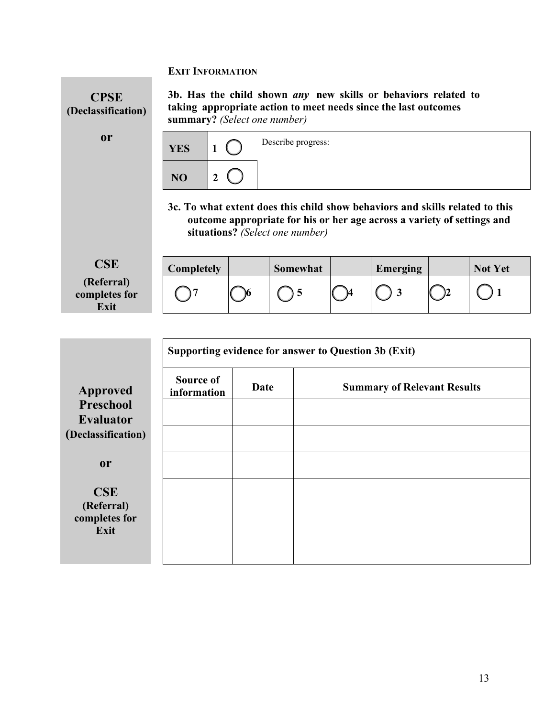**Exit**



|                                        | Supporting evidence for answer to Question 3b (Exit) |      |                                    |  |  |  |
|----------------------------------------|------------------------------------------------------|------|------------------------------------|--|--|--|
| <b>Approved</b>                        | Source of<br>information                             | Date | <b>Summary of Relevant Results</b> |  |  |  |
| Preschool                              |                                                      |      |                                    |  |  |  |
| <b>Evaluator</b><br>(Declassification) |                                                      |      |                                    |  |  |  |
|                                        |                                                      |      |                                    |  |  |  |
| <sub>or</sub>                          |                                                      |      |                                    |  |  |  |
| <b>CSE</b>                             |                                                      |      |                                    |  |  |  |
| (Referral)<br>completes for<br>Exit    |                                                      |      |                                    |  |  |  |
|                                        |                                                      |      |                                    |  |  |  |